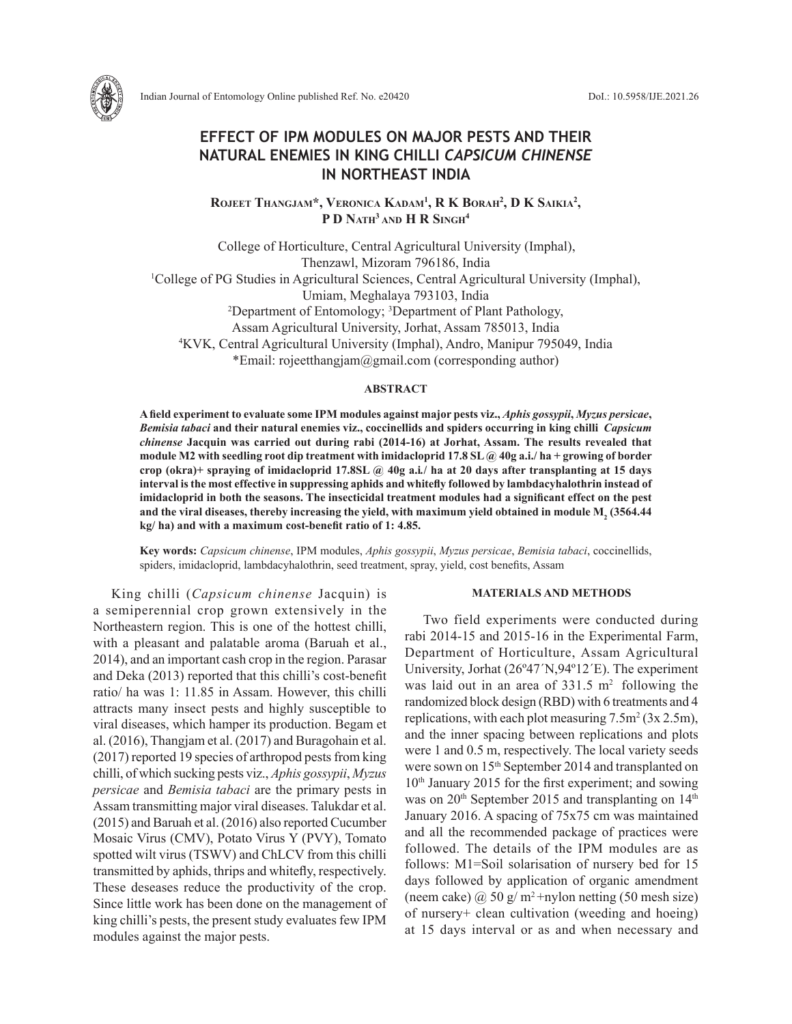



Indian Journal of Entomology Online published Ref. No. e20420 DoI.: 10.5958/IJE.2021.26

# **EFFECT OF IPM MODULES ON MAJOR PESTS AND THEIR NATURAL ENEMIES IN KING CHILLI** *CAPSICUM CHINENSE* **IN NORTHEAST INDIA**

**Rojeet Thangjam\*, Veronica Kadam1 , R K Borah2 , D K Saikia2 , P D Nath3 and H R Singh4**

College of Horticulture, Central Agricultural University (Imphal), Thenzawl, Mizoram 796186, India<br><sup>1</sup>College of PG Studies in Agricultural Sciences, Central Agricultural University (Imphal), Umiam, Meghalaya 793103, India 2 Department of Entomology; 3 Department of Plant Pathology, Assam Agricultural University, Jorhat, Assam 785013, India 4 <sup>4</sup>KVK, Central Agricultural University (Imphal), Andro, Manipur 795049, India \*Email: rojeetthangjam@gmail.com (corresponding author)

#### **ABSTRACT**

**A field experiment to evaluate some IPM modules against major pests viz.,** *Aphis gossypii***,** *Myzus persicae***,**  *Bemisia tabaci* **and their natural enemies viz., coccinellids and spiders occurring in king chilli** *Capsicum chinense* **Jacquin was carried out during rabi (2014-16) at Jorhat, Assam. The results revealed that module M2 with seedling root dip treatment with imidacloprid 17.8 SL @ 40g a.i./ ha + growing of border crop (okra)+ spraying of imidacloprid 17.8SL @ 40g a.i***.***/ ha at 20 days after transplanting at 15 days interval is the most effective in suppressing aphids and whitefly followed by lambdacyhalothrin instead of imidacloprid in both the seasons. The insecticidal treatment modules had a significant effect on the pest**  and the viral diseases, thereby increasing the yield, with maximum yield obtained in module M<sub>2</sub> (3564.44 **kg/ ha) and with a maximum cost-benefit ratio of 1: 4.85.** 

**Key words:** *Capsicum chinense*, IPM modules, *Aphis gossypii*, *Myzus persicae*, *Bemisia tabaci*, coccinellids, spiders, imidacloprid, lambdacyhalothrin, seed treatment, spray, yield, cost benefits, Assam

King chilli (*Capsicum chinense* Jacquin) is a semiperennial crop grown extensively in the Northeastern region. This is one of the hottest chilli, with a pleasant and palatable aroma (Baruah et al., 2014), and an important cash crop in the region. Parasar and Deka (2013) reported that this chilli's cost-benefit ratio/ ha was 1: 11.85 in Assam. However, this chilli attracts many insect pests and highly susceptible to viral diseases, which hamper its production. Begam et al. (2016), Thangjam et al. (2017) and Buragohain et al. (2017) reported 19 species of arthropod pests from king chilli, of which sucking pests viz., *Aphis gossypii*, *Myzus persicae* and *Bemisia tabaci* are the primary pests in Assam transmitting major viral diseases. Talukdar et al. (2015) and Baruah et al. (2016) also reported Cucumber Mosaic Virus (CMV), Potato Virus Y (PVY), Tomato spotted wilt virus (TSWV) and ChLCV from this chilli transmitted by aphids, thrips and whitefly, respectively. These deseases reduce the productivity of the crop. Since little work has been done on the management of king chilli's pests, the present study evaluates few IPM modules against the major pests.

## **MATERIALS AND METHODS**

Two field experiments were conducted during rabi 2014-15 and 2015-16 in the Experimental Farm, Department of Horticulture, Assam Agricultural University, Jorhat (26º47´N,94º12´E). The experiment was laid out in an area of  $331.5 \text{ m}^2$  following the randomized block design (RBD) with 6 treatments and 4 replications, with each plot measuring  $7.5 \text{m}^2 (3 \text{x} 2.5 \text{m})$ , and the inner spacing between replications and plots were 1 and 0.5 m, respectively. The local variety seeds were sown on 15<sup>th</sup> September 2014 and transplanted on 10<sup>th</sup> January 2015 for the first experiment; and sowing was on 20<sup>th</sup> September 2015 and transplanting on 14<sup>th</sup> January 2016. A spacing of 75x75 cm was maintained and all the recommended package of practices were followed. The details of the IPM modules are as follows: M1=Soil solarisation of nursery bed for 15 days followed by application of organic amendment (neem cake)  $\omega$  50 g/ m<sup>2</sup>+nylon netting (50 mesh size) of nursery+ clean cultivation (weeding and hoeing) at 15 days interval or as and when necessary and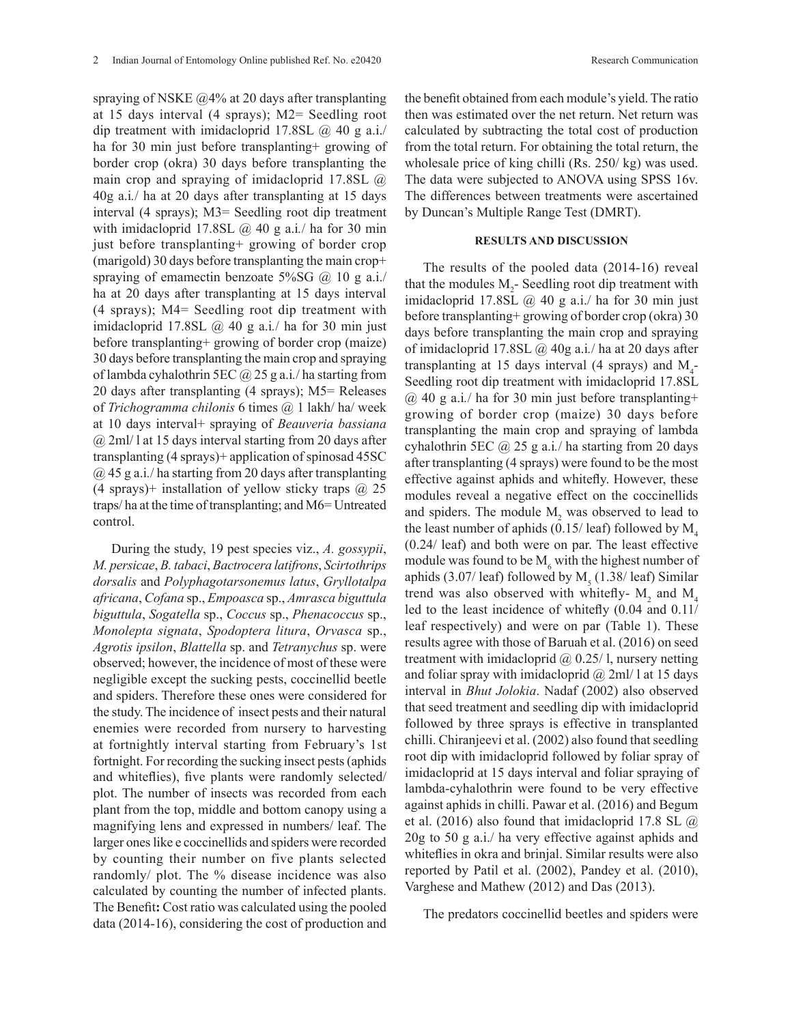spraying of NSKE @4% at 20 days after transplanting at 15 days interval (4 sprays); M2= Seedling root dip treatment with imidacloprid 17.8SL  $\omega$  40 g a.i./ ha for 30 min just before transplanting+ growing of border crop (okra) 30 days before transplanting the main crop and spraying of imidacloprid 17.8SL @ 40g a.i*.*/ ha at 20 days after transplanting at 15 days interval (4 sprays); M3= Seedling root dip treatment with imidacloprid 17.8SL @ 40 g a.i*.*/ ha for 30 min just before transplanting+ growing of border crop (marigold) 30 days before transplanting the main crop+ spraying of emamectin benzoate 5%SG @ 10 g a.i./ ha at 20 days after transplanting at 15 days interval (4 sprays); M4= Seedling root dip treatment with imidacloprid 17.8SL @ 40 g a.i*.*/ ha for 30 min just before transplanting+ growing of border crop (maize) 30 days before transplanting the main crop and spraying of lambda cyhalothrin 5EC @ 25 g a.i*.*/ ha starting from 20 days after transplanting (4 sprays); M5= Releases of *Trichogramma chilonis* 6 times @ 1 lakh/ ha/ week at 10 days interval+ spraying of *Beauveria bassiana*  @ 2ml/ l at 15 days interval starting from 20 days after transplanting (4 sprays)+ application of spinosad 45SC @ 45 g a.i*.*/ ha starting from 20 days after transplanting (4 sprays)+ installation of yellow sticky traps  $\omega$  25 traps/ ha at the time of transplanting; and M6= Untreated control.

During the study, 19 pest species viz., *A. gossypii*, *M. persicae*, *B. tabaci*, *Bactrocera latifrons*, *Scirtothrips dorsalis* and *Polyphagotarsonemus latus*, *Gryllotalpa africana*, *Cofana* sp., *Empoasca* sp., *Amrasca biguttula biguttula*, *Sogatella* sp., *Coccus* sp., *Phenacoccus* sp., *Monolepta signata*, *Spodoptera litura*, *Orvasca* sp., *Agrotis ipsilon*, *Blattella* sp. and *Tetranychus* sp. were observed; however, the incidence of most of these were negligible except the sucking pests, coccinellid beetle and spiders. Therefore these ones were considered for the study. The incidence of insect pests and their natural enemies were recorded from nursery to harvesting at fortnightly interval starting from February's 1st fortnight. For recording the sucking insect pests (aphids and whiteflies), five plants were randomly selected/ plot. The number of insects was recorded from each plant from the top, middle and bottom canopy using a magnifying lens and expressed in numbers/ leaf. The larger ones like e coccinellids and spiders were recorded by counting their number on five plants selected randomly/ plot. The % disease incidence was also calculated by counting the number of infected plants. The Benefit**:** Cost ratio was calculated using the pooled data (2014-16), considering the cost of production and the benefit obtained from each module's yield. The ratio then was estimated over the net return. Net return was calculated by subtracting the total cost of production from the total return. For obtaining the total return, the wholesale price of king chilli (Rs. 250/ kg) was used. The data were subjected to ANOVA using SPSS 16v. The differences between treatments were ascertained by Duncan's Multiple Range Test (DMRT).

## **RESULTS AND DISCUSSION**

The results of the pooled data (2014-16) reveal that the modules  $M_2$ - Seedling root dip treatment with imidacloprid 17.8SL  $(a)$  40 g a.i./ ha for 30 min just before transplanting+ growing of border crop (okra) 30 days before transplanting the main crop and spraying of imidacloprid 17.8SL @ 40g a.i*.*/ ha at 20 days after transplanting at 15 days interval (4 sprays) and  $M_{4}$ -Seedling root dip treatment with imidacloprid 17.8SL @ 40 g a.i*.*/ ha for 30 min just before transplanting+ growing of border crop (maize) 30 days before transplanting the main crop and spraying of lambda cyhalothrin 5EC @ 25 g a.i*.*/ ha starting from 20 days after transplanting (4 sprays) were found to be the most effective against aphids and whitefly. However, these modules reveal a negative effect on the coccinellids and spiders. The module  $M_2$  was observed to lead to the least number of aphids  $(0.15/$  leaf) followed by M<sub>4</sub>. (0.24/ leaf) and both were on par. The least effective module was found to be  $M_6$  with the highest number of aphids  $(3.07/\text{leaf})$  followed by  $M<sub>5</sub>$   $(1.38/\text{leaf})$  Similar trend was also observed with whitefly-  $M_2$  and  $M_4$ led to the least incidence of whitefly (0.04 and 0.11/ leaf respectively) and were on par (Table 1). These results agree with those of Baruah et al. (2016) on seed treatment with imidacloprid  $\omega$  0.25/1, nursery netting and foliar spray with imidacloprid  $\omega$  2ml/ l at 15 days interval in *Bhut Jolokia*. Nadaf (2002) also observed that seed treatment and seedling dip with imidacloprid followed by three sprays is effective in transplanted chilli. Chiranjeevi et al. (2002) also found that seedling root dip with imidacloprid followed by foliar spray of imidacloprid at 15 days interval and foliar spraying of lambda-cyhalothrin were found to be very effective against aphids in chilli. Pawar et al. (2016) and Begum et al. (2016) also found that imidacloprid 17.8 SL  $\omega$ 20g to 50 g a.i./ ha very effective against aphids and whiteflies in okra and brinjal. Similar results were also reported by Patil et al. (2002), Pandey et al. (2010), Varghese and Mathew (2012) and Das (2013).

The predators coccinellid beetles and spiders were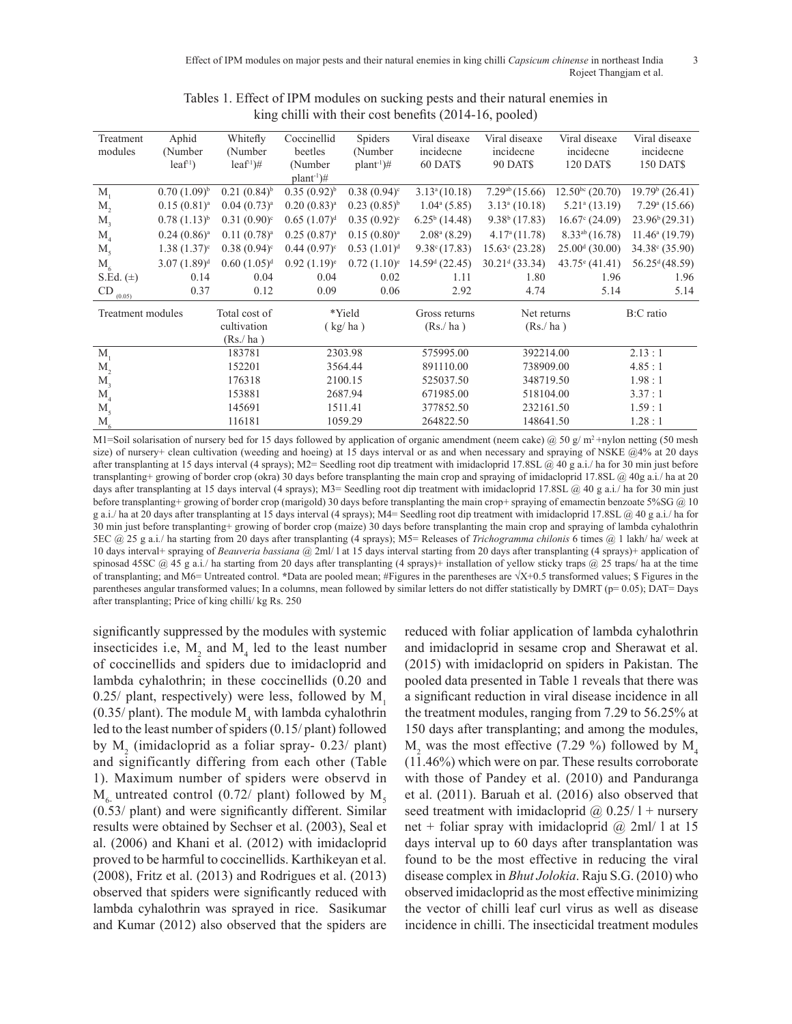| Treatment<br>modules | Aphid<br>(Number        | Whitefly<br>(Number)      | Coccinellid<br>beetles    | Spiders<br>(Number     | Viral diseaxe<br>incidecne | Viral diseaxe<br>incidecne | Viral diseaxe<br>incidecne   | Viral diseaxe<br>incidecne |
|----------------------|-------------------------|---------------------------|---------------------------|------------------------|----------------------------|----------------------------|------------------------------|----------------------------|
|                      | leaf'                   | leaf <sup>1</sup>         | (Number)                  | $plant^1$ <sup>+</sup> | 60 DATS                    | <b>90 DATS</b>             | <b>120 DATS</b>              | 150 DAT\$                  |
|                      |                         |                           | $plant^{-1}$ <sup>#</sup> |                        |                            |                            |                              |                            |
| $M_{1}$              | $0.70(1.09)^{b}$        | $0.21(0.84)$ <sup>b</sup> | $0.35(0.92)^{b}$          | $0.38(0.94)^c$         | 3.13 <sup>a</sup> (10.18)  | 7.29 <sup>ab</sup> (15.66) | $12.50bc$ (20.70)            | $19.79b$ (26.41)           |
| $M_{2}$              | 0.15(0.81) <sup>a</sup> | $0.04(0.73)^a$            | $(0.20)(0.83)^a$          | $0.23(0.85)^{b}$       | $1.04^{\mathrm{a}}$ (5.85) | $3.13a$ (10.18)            | $5.21$ <sup>a</sup> (13.19)  | $7.29a$ (15.66)            |
| $M_{\rm s}$          | $0.78(1.13)^{b}$        | $0.31(0.90)^c$            | 0.65(1.07) <sup>d</sup>   | $0.35(0.92)^c$         | $6.25^b(14.48)$            | $9.38b$ (17.83)            | $16.67$ <sup>c</sup> (24.09) | 23.96 <sup>b</sup> (29.31) |
| $M_{4}$              | $0.24(0.86)^a$          | $0.11(0.78)^a$            | $0.25(0.87)^{a}$          | $0.15(0.80)^a$         | $2.08a$ (8.29)             | 4.17 <sup>a</sup> (11.78)  | $8.33^{ab}$ (16.78)          | $11.46^{\circ}$ (19.79)    |
| $M_{\rm s}$          | $1.38(1.37)^c$          | $0.38(0.94)$ <sup>c</sup> | $0.44(0.97)^c$            | $0.53(1.01)^d$         | $9.38^{\circ}(17.83)$      | $15.63^{\circ}$ (23.28)    | $25.00d$ (30.00)             | $34.38^{\circ}$ (35.90)    |
| $M_{6}$              | $(1.89)^d$              | $0.60(1.05)^d$            | $0.92 (1.19)^e$           | $0.72 (1.10)^e$        | $14.59d$ (22.45)           | $30.21d$ (33.34)           | $43.75^{\circ}$ (41.41)      | 56.25 <sup>d</sup> (48.59) |
| S.Ed. $(\pm)$        | 0.14                    | 0.04                      | 0.04                      | 0.02                   | 1.11                       | 1.80                       | 1.96                         | 1.96                       |
| $CD_{(0.05)}$        | 0.37                    | 0.12                      | 0.09                      | 0.06                   | 2.92                       | 4.74                       | 5.14                         | 5.14                       |
| Treatment modules    |                         | Total cost of             | *Yield                    |                        | Gross returns              | Net returns                |                              | B:C ratio                  |
|                      |                         | cultivation               | (kg/ha)                   |                        | (Rs/ha)                    | (Rs/ha)                    |                              |                            |
|                      |                         | (Rs/ha)                   |                           |                        |                            |                            |                              |                            |
| $M_{1}$              |                         | 183781                    | 2303.98                   |                        | 575995.00                  | 392214.00                  |                              | 2.13:1                     |
| $M_{2}$              |                         | 152201                    | 3564.44                   |                        | 891110.00                  | 738909.00                  |                              | 4.85:1                     |
| M <sub>3</sub>       |                         | 176318                    | 2100.15                   |                        | 525037.50                  | 348719.50                  |                              | 1.98:1                     |
| M <sub>4</sub>       |                         | 153881                    | 2687.94                   |                        | 671985.00                  | 518104.00                  |                              | 3.37:1                     |
| $M_{5}$              |                         | 145691                    | 1511.41                   |                        | 377852.50                  | 232161.50                  |                              | 1.59:1                     |
| $M_{\rm 6}$          |                         | 116181                    |                           | 1059.29                | 264822.50                  | 148641.50                  |                              | 1.28:1                     |

Tables 1. Effect of IPM modules on sucking pests and their natural enemies in king chilli with their cost benefits (2014-16, pooled)

M1=Soil solarisation of nursery bed for 15 days followed by application of organic amendment (neem cake) @ 50 g/m<sup>2</sup> +nylon netting (50 mesh size) of nursery+ clean cultivation (weeding and hoeing) at 15 days interval or as and when necessary and spraying of NSKE @4% at 20 days after transplanting at 15 days interval (4 sprays); M2= Seedling root dip treatment with imidacloprid 17.8SL @ 40 g a.i./ ha for 30 min just before transplanting+ growing of border crop (okra) 30 days before transplanting the main crop and spraying of imidacloprid 17.8SL @ 40g a.i*.*/ ha at 20 days after transplanting at 15 days interval (4 sprays); M3= Seedling root dip treatment with imidacloprid 17.8SL @ 40 g a.i./ ha for 30 min just before transplanting+ growing of border crop (marigold) 30 days before transplanting the main crop+ spraying of emamectin benzoate 5%SG @ 10 g a.i./ ha at 20 days after transplanting at 15 days interval (4 sprays); M4= Seedling root dip treatment with imidacloprid 17.8SL @ 40 g a.i*.*/ ha for 30 min just before transplanting+ growing of border crop (maize) 30 days before transplanting the main crop and spraying of lambda cyhalothrin 5EC @ 25 g a.i*.*/ ha starting from 20 days after transplanting (4 sprays); M5= Releases of *Trichogramma chilonis* 6 times @ 1 lakh/ ha/ week at 10 days interval+ spraying of *Beauveria bassiana* @ 2ml/ l at 15 days interval starting from 20 days after transplanting (4 sprays)+ application of spinosad 45SC  $(a)$  45 g a.i./ ha starting from 20 days after transplanting (4 sprays)+ installation of yellow sticky traps  $(a)$  25 traps/ ha at the time of transplanting; and M6= Untreated control. **\***Data are pooled mean; #Figures in the parentheses are √X+0.5 transformed values; \$ Figures in the parentheses angular transformed values; In a columns, mean followed by similar letters do not differ statistically by DMRT (p= 0.05); DAT= Days after transplanting; Price of king chilli/ kg Rs. 250

significantly suppressed by the modules with systemic insecticides i.e,  $M_2$  and  $M_4$  led to the least number of coccinellids and spiders due to imidacloprid and lambda cyhalothrin; in these coccinellids (0.20 and 0.25/ plant, respectively) were less, followed by  $M<sub>1</sub>$  $(0.35/\text{plant})$ . The module  $M<sub>4</sub>$  with lambda cyhalothrin led to the least number of spiders (0.15/ plant) followed by  $M_2$  (imidacloprid as a foliar spray- 0.23/ plant) and significantly differing from each other (Table 1). Maximum number of spiders were observd in  $M<sub>6</sub>$  untreated control (0.72/ plant) followed by  $M<sub>5</sub>$ (0.53/ plant) and were significantly different. Similar results were obtained by Sechser et al. (2003), Seal et al. (2006) and Khani et al. (2012) with imidacloprid proved to be harmful to coccinellids. Karthikeyan et al. (2008), Fritz et al. (2013) and Rodrigues et al. (2013) observed that spiders were significantly reduced with lambda cyhalothrin was sprayed in rice. Sasikumar and Kumar (2012) also observed that the spiders are

reduced with foliar application of lambda cyhalothrin and imidacloprid in sesame crop and Sherawat et al. (2015) with imidacloprid on spiders in Pakistan. The pooled data presented in Table 1 reveals that there was a significant reduction in viral disease incidence in all the treatment modules, ranging from 7.29 to 56.25% at 150 days after transplanting; and among the modules,  $M_2$  was the most effective (7.29 %) followed by  $M_4$ (11.46%) which were on par. These results corroborate with those of Pandey et al. (2010) and Panduranga et al. (2011). Baruah et al. (2016) also observed that seed treatment with imidacloprid  $\omega$  0.25/ l + nursery net + foliar spray with imidacloprid  $\omega$  2ml/ 1 at 15 days interval up to 60 days after transplantation was found to be the most effective in reducing the viral disease complex in *Bhut Jolokia*. Raju S.G. (2010) who observed imidacloprid as the most effective minimizing the vector of chilli leaf curl virus as well as disease incidence in chilli. The insecticidal treatment modules